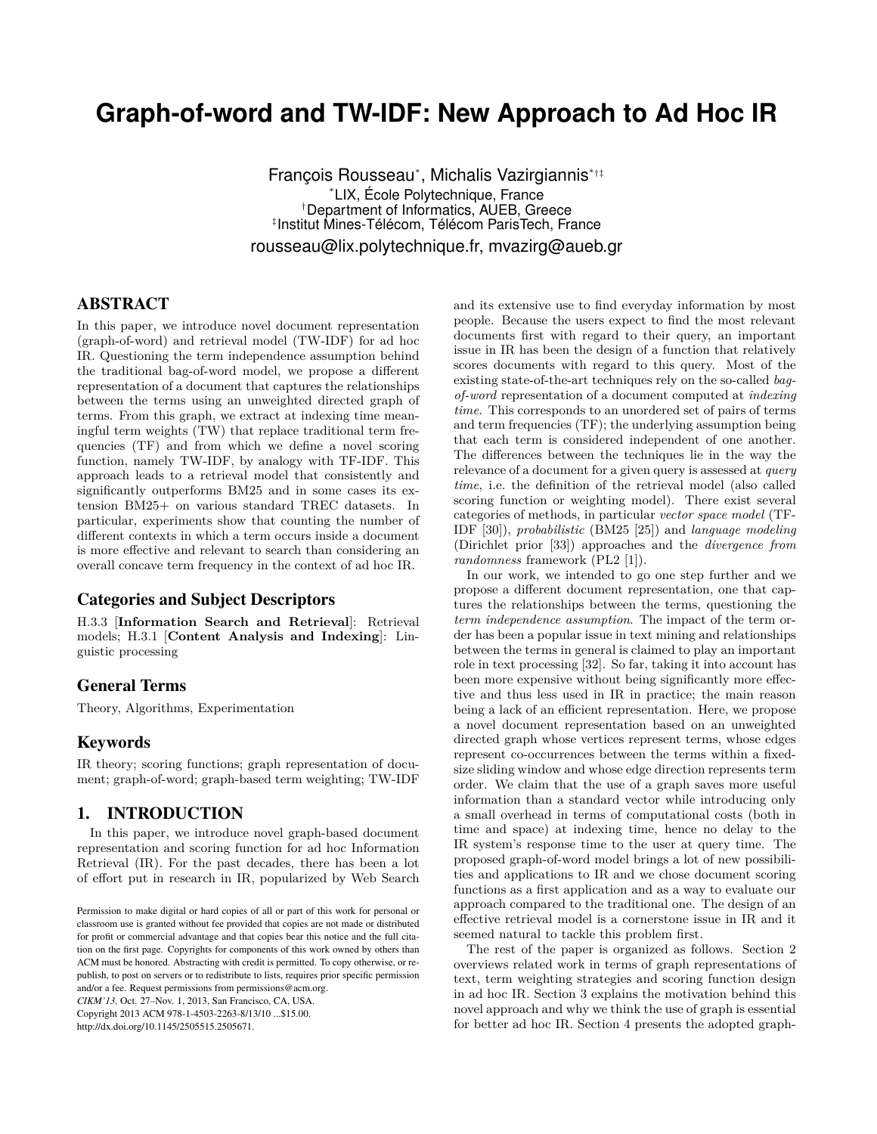# **Graph-of-word and TW-IDF: New Approach to Ad Hoc IR**

François Rousseau\* , Michalis Vazirgiannis\*†‡ \*LIX, École Polytechnique, France †Department of Informatics, AUEB, Greece ‡ Institut Mines-Télécom, Télécom ParisTech, France rousseau@lix.polytechnique.fr, mvazirg@aueb.gr

# ABSTRACT

In this paper, we introduce novel document representation (graph-of-word) and retrieval model (TW-IDF) for ad hoc IR. Questioning the term independence assumption behind the traditional bag-of-word model, we propose a different representation of a document that captures the relationships between the terms using an unweighted directed graph of terms. From this graph, we extract at indexing time meaningful term weights (TW) that replace traditional term frequencies (TF) and from which we define a novel scoring function, namely TW-IDF, by analogy with TF-IDF. This approach leads to a retrieval model that consistently and significantly outperforms BM25 and in some cases its extension BM25+ on various standard TREC datasets. In particular, experiments show that counting the number of different contexts in which a term occurs inside a document is more effective and relevant to search than considering an overall concave term frequency in the context of ad hoc IR.

# Categories and Subject Descriptors

H.3.3 [**Information Search and Retrieval**]: Retrieval models; H.3.1 [**Content Analysis and Indexing**]: Linguistic processing

# General Terms

Theory, Algorithms, Experimentation

# Keywords

IR theory; scoring functions; graph representation of document; graph-of-word; graph-based term weighting; TW-IDF

# 1. INTRODUCTION

In this paper, we introduce novel graph-based document representation and scoring function for ad hoc Information Retrieval (IR). For the past decades, there has been a lot of effort put in research in IR, popularized by Web Search

*CIKM'13,* Oct. 27–Nov. 1, 2013, San Francisco, CA, USA. Copyright 2013 ACM 978-1-4503-2263-8/13/10 ...\$15.00. http://dx.doi.org/10.1145/2505515.2505671.

and its extensive use to find everyday information by most people. Because the users expect to find the most relevant documents first with regard to their query, an important issue in IR has been the design of a function that relatively scores documents with regard to this query. Most of the existing state-of-the-art techniques rely on the so-called *bagof-word* representation of a document computed at *indexing time*. This corresponds to an unordered set of pairs of terms and term frequencies (TF); the underlying assumption being that each term is considered independent of one another. The differences between the techniques lie in the way the relevance of a document for a given query is assessed at *query time*, i.e. the definition of the retrieval model (also called scoring function or weighting model). There exist several categories of methods, in particular *vector space model* (TF-IDF [\[30\]](#page-8-0)), *probabilistic* (BM25 [\[25\]](#page-8-1)) and *language modeling* (Dirichlet prior [\[33\]](#page-9-0)) approaches and the *divergence from randomness* framework (PL2 [\[1\]](#page-8-2)).

In our work, we intended to go one step further and we propose a different document representation, one that captures the relationships between the terms, questioning the *term independence assumption*. The impact of the term order has been a popular issue in text mining and relationships between the terms in general is claimed to play an important role in text processing [\[32\]](#page-9-1). So far, taking it into account has been more expensive without being significantly more effective and thus less used in IR in practice; the main reason being a lack of an efficient representation. Here, we propose a novel document representation based on an unweighted directed graph whose vertices represent terms, whose edges represent co-occurrences between the terms within a fixedsize sliding window and whose edge direction represents term order. We claim that the use of a graph saves more useful information than a standard vector while introducing only a small overhead in terms of computational costs (both in time and space) at indexing time, hence no delay to the IR system's response time to the user at query time. The proposed graph-of-word model brings a lot of new possibilities and applications to IR and we chose document scoring functions as a first application and as a way to evaluate our approach compared to the traditional one. The design of an effective retrieval model is a cornerstone issue in IR and it seemed natural to tackle this problem first.

The rest of the paper is organized as follows. Section [2](#page-1-0) overviews related work in terms of graph representations of text, term weighting strategies and scoring function design in ad hoc IR. Section [3](#page-1-1) explains the motivation behind this novel approach and why we think the use of graph is essential for better ad hoc IR. Section [4](#page-2-0) presents the adopted graph-

Permission to make digital or hard copies of all or part of this work for personal or classroom use is granted without fee provided that copies are not made or distributed for profit or commercial advantage and that copies bear this notice and the full citation on the first page. Copyrights for components of this work owned by others than ACM must be honored. Abstracting with credit is permitted. To copy otherwise, or republish, to post on servers or to redistribute to lists, requires prior specific permission and/or a fee. Request permissions from permissions@acm.org.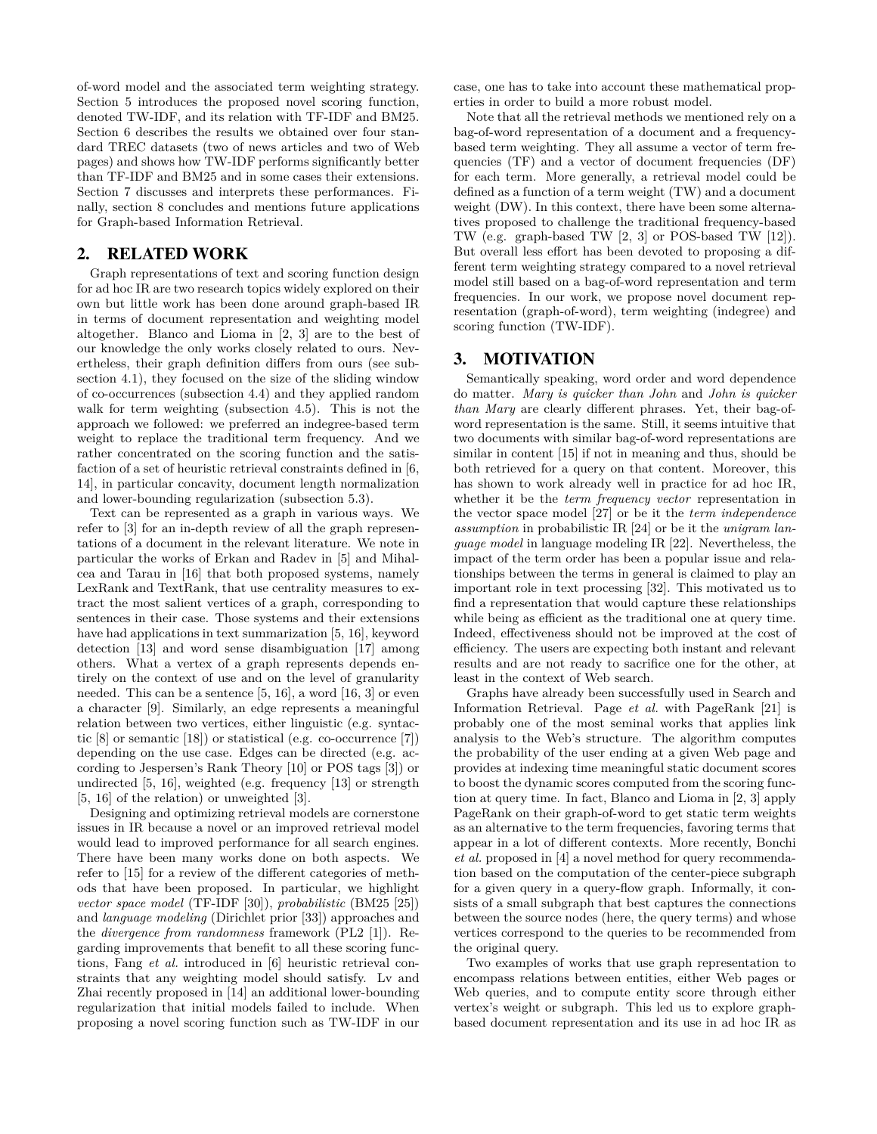of-word model and the associated term weighting strategy. Section [5](#page-3-0) introduces the proposed novel scoring function, denoted TW-IDF, and its relation with TF-IDF and BM25. Section [6](#page-4-0) describes the results we obtained over four standard TREC datasets (two of news articles and two of Web pages) and shows how TW-IDF performs significantly better than TF-IDF and BM25 and in some cases their extensions. Section [7](#page-6-0) discusses and interprets these performances. Finally, section [8](#page-7-0) concludes and mentions future applications for Graph-based Information Retrieval.

# <span id="page-1-0"></span>2. RELATED WORK

Graph representations of text and scoring function design for ad hoc IR are two research topics widely explored on their own but little work has been done around graph-based IR in terms of document representation and weighting model altogether. Blanco and Lioma in [\[2,](#page-8-3) [3\]](#page-8-4) are to the best of our knowledge the only works closely related to ours. Nevertheless, their graph definition differs from ours (see subsection [4.1\)](#page-2-1), they focused on the size of the sliding window of co-occurrences (subsection [4.4\)](#page-3-1) and they applied random walk for term weighting (subsection [4.5\)](#page-3-2). This is not the approach we followed: we preferred an indegree-based term weight to replace the traditional term frequency. And we rather concentrated on the scoring function and the satisfaction of a set of heuristic retrieval constraints defined in [\[6,](#page-8-5) [14\]](#page-8-6), in particular concavity, document length normalization and lower-bounding regularization (subsection [5.3\)](#page-4-1).

Text can be represented as a graph in various ways. We refer to [\[3\]](#page-8-4) for an in-depth review of all the graph representations of a document in the relevant literature. We note in particular the works of Erkan and Radev in [\[5\]](#page-8-7) and Mihalcea and Tarau in [\[16\]](#page-8-8) that both proposed systems, namely LexRank and TextRank, that use centrality measures to extract the most salient vertices of a graph, corresponding to sentences in their case. Those systems and their extensions have had applications in text summarization [\[5,](#page-8-7) [16\]](#page-8-8), keyword detection [\[13\]](#page-8-9) and word sense disambiguation [\[17\]](#page-8-10) among others. What a vertex of a graph represents depends entirely on the context of use and on the level of granularity needed. This can be a sentence [\[5,](#page-8-7) [16\]](#page-8-8), a word [\[16,](#page-8-8) [3\]](#page-8-4) or even a character [\[9\]](#page-8-11). Similarly, an edge represents a meaningful relation between two vertices, either linguistic (e.g. syntactic [\[8\]](#page-8-12) or semantic [\[18\]](#page-8-13)) or statistical (e.g. co-occurrence [\[7\]](#page-8-14)) depending on the use case. Edges can be directed (e.g. according to Jespersen's Rank Theory [\[10\]](#page-8-15) or POS tags [\[3\]](#page-8-4)) or undirected [\[5,](#page-8-7) [16\]](#page-8-8), weighted (e.g. frequency [\[13\]](#page-8-9) or strength [\[5,](#page-8-7) [16\]](#page-8-8) of the relation) or unweighted [\[3\]](#page-8-4).

Designing and optimizing retrieval models are cornerstone issues in IR because a novel or an improved retrieval model would lead to improved performance for all search engines. There have been many works done on both aspects. We refer to [\[15\]](#page-8-16) for a review of the different categories of methods that have been proposed. In particular, we highlight *vector space model* (TF-IDF [\[30\]](#page-8-0)), *probabilistic* (BM25 [\[25\]](#page-8-1)) and *language modeling* (Dirichlet prior [\[33\]](#page-9-0)) approaches and the *divergence from randomness* framework (PL2 [\[1\]](#page-8-2)). Regarding improvements that benefit to all these scoring functions, Fang *et al.* introduced in [\[6\]](#page-8-5) heuristic retrieval constraints that any weighting model should satisfy. Lv and Zhai recently proposed in [\[14\]](#page-8-6) an additional lower-bounding regularization that initial models failed to include. When proposing a novel scoring function such as TW-IDF in our

case, one has to take into account these mathematical properties in order to build a more robust model.

Note that all the retrieval methods we mentioned rely on a bag-of-word representation of a document and a frequencybased term weighting. They all assume a vector of term frequencies (TF) and a vector of document frequencies (DF) for each term. More generally, a retrieval model could be defined as a function of a term weight (TW) and a document weight (DW). In this context, there have been some alternatives proposed to challenge the traditional frequency-based TW (e.g. graph-based TW [\[2,](#page-8-3) [3\]](#page-8-4) or POS-based TW [\[12\]](#page-8-17)). But overall less effort has been devoted to proposing a different term weighting strategy compared to a novel retrieval model still based on a bag-of-word representation and term frequencies. In our work, we propose novel document representation (graph-of-word), term weighting (indegree) and scoring function (TW-IDF).

# <span id="page-1-1"></span>3. MOTIVATION

Semantically speaking, word order and word dependence do matter. *Mary is quicker than John* and *John is quicker than Mary* are clearly different phrases. Yet, their bag-ofword representation is the same. Still, it seems intuitive that two documents with similar bag-of-word representations are similar in content [\[15\]](#page-8-16) if not in meaning and thus, should be both retrieved for a query on that content. Moreover, this has shown to work already well in practice for ad hoc IR, whether it be the *term frequency vector* representation in the vector space model [\[27\]](#page-8-18) or be it the *term independence assumption* in probabilistic IR [\[24\]](#page-8-19) or be it the *unigram language model* in language modeling IR [\[22\]](#page-8-20). Nevertheless, the impact of the term order has been a popular issue and relationships between the terms in general is claimed to play an important role in text processing [\[32\]](#page-9-1). This motivated us to find a representation that would capture these relationships while being as efficient as the traditional one at query time. Indeed, effectiveness should not be improved at the cost of efficiency. The users are expecting both instant and relevant results and are not ready to sacrifice one for the other, at least in the context of Web search.

Graphs have already been successfully used in Search and Information Retrieval. Page *et al.* with PageRank [\[21\]](#page-8-21) is probably one of the most seminal works that applies link analysis to the Web's structure. The algorithm computes the probability of the user ending at a given Web page and provides at indexing time meaningful static document scores to boost the dynamic scores computed from the scoring function at query time. In fact, Blanco and Lioma in [\[2,](#page-8-3) [3\]](#page-8-4) apply PageRank on their graph-of-word to get static term weights as an alternative to the term frequencies, favoring terms that appear in a lot of different contexts. More recently, Bonchi *et al.* proposed in [\[4\]](#page-8-22) a novel method for query recommendation based on the computation of the center-piece subgraph for a given query in a query-flow graph. Informally, it consists of a small subgraph that best captures the connections between the source nodes (here, the query terms) and whose vertices correspond to the queries to be recommended from the original query.

Two examples of works that use graph representation to encompass relations between entities, either Web pages or Web queries, and to compute entity score through either vertex's weight or subgraph. This led us to explore graphbased document representation and its use in ad hoc IR as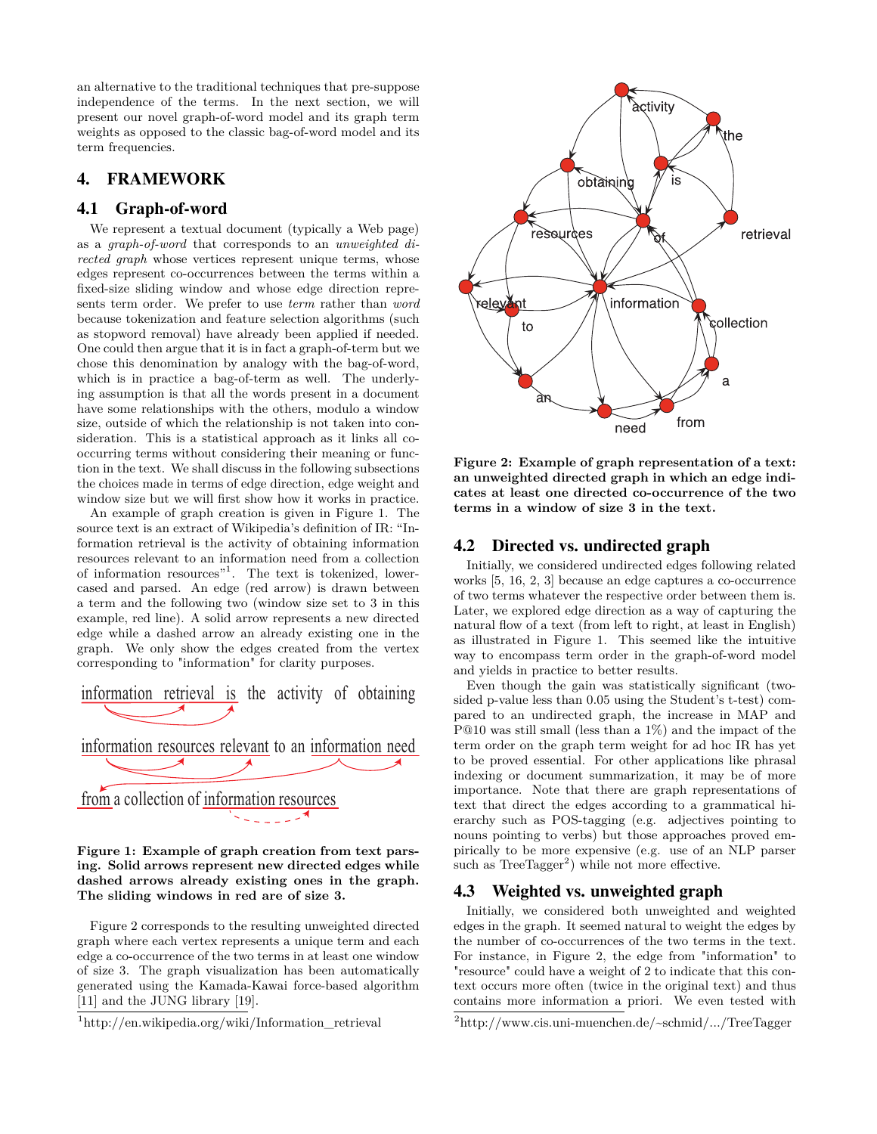an alternative to the traditional techniques that pre-suppose independence of the terms. In the next section, we will present our novel graph-of-word model and its graph term weights as opposed to the classic bag-of-word model and its term frequencies.

# <span id="page-2-0"></span>4. FRAMEWORK

# <span id="page-2-1"></span>4.1 Graph-of-word

We represent a textual document (typically a Web page) as a *graph-of-word* that corresponds to an *unweighted directed graph* whose vertices represent unique terms, whose edges represent co-occurrences between the terms within a fixed-size sliding window and whose edge direction represents term order. We prefer to use *term* rather than *word* because tokenization and feature selection algorithms (such as stopword removal) have already been applied if needed. One could then argue that it is in fact a graph-of-term but we chose this denomination by analogy with the bag-of-word, which is in practice a bag-of-term as well. The underlying assumption is that all the words present in a document have some relationships with the others, modulo a window size, outside of which the relationship is not taken into consideration. This is a statistical approach as it links all cooccurring terms without considering their meaning or function in the text. We shall discuss in the following subsections the choices made in terms of edge direction, edge weight and window size but we will first show how it works in practice.

An example of graph creation is given in Figure [1.](#page-2-2) The source text is an extract of Wikipedia's definition of IR: "Information retrieval is the activity of obtaining information resources relevant to an information need from a collection of information resources"<sup>1</sup> . The text is tokenized, lowercased and parsed. An edge (red arrow) is drawn between a term and the following two (window size set to 3 in this example, red line). A solid arrow represents a new directed edge while a dashed arrow an already existing one in the graph. We only show the edges created from the vertex corresponding to "information" for clarity purposes.



#### <span id="page-2-2"></span>**Figure 1: Example of graph creation from text parsing. Solid arrows represent new directed edges while dashed arrows already existing ones in the graph. The sliding windows in red are of size 3.**

Figure [2](#page-2-3) corresponds to the resulting unweighted directed graph where each vertex represents a unique term and each edge a co-occurrence of the two terms in at least one window of size 3. The graph visualization has been automatically generated using the Kamada-Kawai force-based algorithm [\[11\]](#page-8-23) and the JUNG library [\[19\]](#page-8-24).



<span id="page-2-3"></span>**Figure 2: Example of graph representation of a text: an unweighted directed graph in which an edge indicates at least one directed co-occurrence of the two terms in a window of size 3 in the text.**

# 4.2 Directed vs. undirected graph

Initially, we considered undirected edges following related works [\[5,](#page-8-7) [16,](#page-8-8) [2,](#page-8-3) [3\]](#page-8-4) because an edge captures a co-occurrence of two terms whatever the respective order between them is. Later, we explored edge direction as a way of capturing the natural flow of a text (from left to right, at least in English) as illustrated in Figure [1.](#page-2-2) This seemed like the intuitive way to encompass term order in the graph-of-word model and yields in practice to better results.

Even though the gain was statistically significant (twosided p-value less than 0.05 using the Student's t-test) compared to an undirected graph, the increase in MAP and P@10 was still small (less than a 1%) and the impact of the term order on the graph term weight for ad hoc IR has yet to be proved essential. For other applications like phrasal indexing or document summarization, it may be of more importance. Note that there are graph representations of text that direct the edges according to a grammatical hierarchy such as POS-tagging (e.g. adjectives pointing to nouns pointing to verbs) but those approaches proved empirically to be more expensive (e.g. use of an NLP parser such as  $TreeTagger^2$ ) while not more effective.

# <span id="page-2-4"></span>4.3 Weighted vs. unweighted graph

Initially, we considered both unweighted and weighted edges in the graph. It seemed natural to weight the edges by the number of co-occurrences of the two terms in the text. For instance, in Figure [2,](#page-2-3) the edge from "information" to "resource" could have a weight of 2 to indicate that this context occurs more often (twice in the original text) and thus contains more information a priori. We even tested with

<sup>1</sup>[http://en.wikipedia.org/wiki/Information\\_retrieval](http://en.wikipedia.org/wiki/Information_retrieval)

 $^{2}$ [http://www.cis.uni-muenchen.de/~schmid/.../TreeTagger](http://www.cis.uni-muenchen.de/~schmid/tools/TreeTagger/)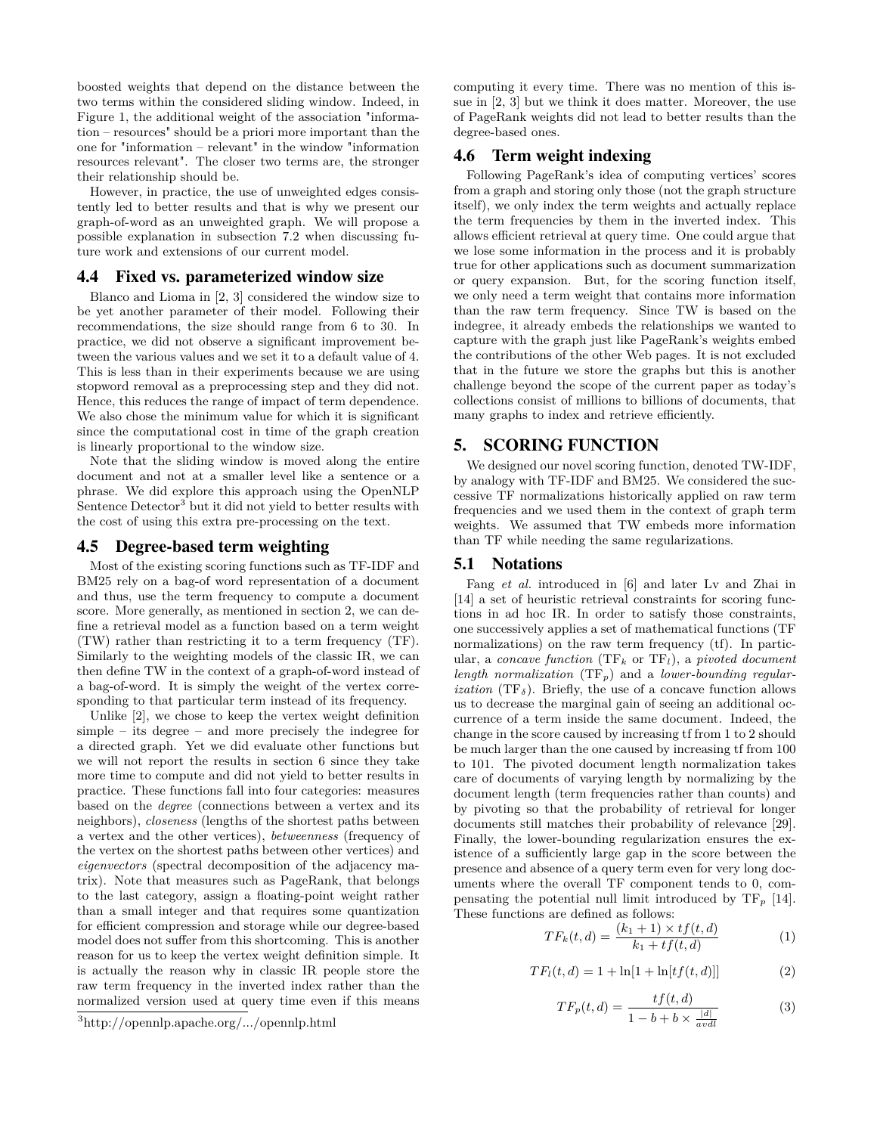boosted weights that depend on the distance between the two terms within the considered sliding window. Indeed, in Figure [1,](#page-2-2) the additional weight of the association "information – resources" should be a priori more important than the one for "information – relevant" in the window "information resources relevant". The closer two terms are, the stronger their relationship should be.

However, in practice, the use of unweighted edges consistently led to better results and that is why we present our graph-of-word as an unweighted graph. We will propose a possible explanation in subsection [7.2](#page-7-1) when discussing future work and extensions of our current model.

#### <span id="page-3-1"></span>4.4 Fixed vs. parameterized window size

Blanco and Lioma in [\[2,](#page-8-3) [3\]](#page-8-4) considered the window size to be yet another parameter of their model. Following their recommendations, the size should range from 6 to 30. In practice, we did not observe a significant improvement between the various values and we set it to a default value of 4. This is less than in their experiments because we are using stopword removal as a preprocessing step and they did not. Hence, this reduces the range of impact of term dependence. We also chose the minimum value for which it is significant since the computational cost in time of the graph creation is linearly proportional to the window size.

Note that the sliding window is moved along the entire document and not at a smaller level like a sentence or a phrase. We did explore this approach using the OpenNLP Sentence  $\text{Detector}^3$  but it did not yield to better results with the cost of using this extra pre-processing on the text.

#### <span id="page-3-2"></span>4.5 Degree-based term weighting

Most of the existing scoring functions such as TF-IDF and BM25 rely on a bag-of word representation of a document and thus, use the term frequency to compute a document score. More generally, as mentioned in section [2,](#page-1-0) we can define a retrieval model as a function based on a term weight (TW) rather than restricting it to a term frequency (TF). Similarly to the weighting models of the classic IR, we can then define TW in the context of a graph-of-word instead of a bag-of-word. It is simply the weight of the vertex corresponding to that particular term instead of its frequency.

Unlike [\[2\]](#page-8-3), we chose to keep the vertex weight definition simple – its degree – and more precisely the indegree for a directed graph. Yet we did evaluate other functions but we will not report the results in section [6](#page-4-0) since they take more time to compute and did not yield to better results in practice. These functions fall into four categories: measures based on the *degree* (connections between a vertex and its neighbors), *closeness* (lengths of the shortest paths between a vertex and the other vertices), *betweenness* (frequency of the vertex on the shortest paths between other vertices) and *eigenvectors* (spectral decomposition of the adjacency matrix). Note that measures such as PageRank, that belongs to the last category, assign a floating-point weight rather than a small integer and that requires some quantization for efficient compression and storage while our degree-based model does not suffer from this shortcoming. This is another reason for us to keep the vertex weight definition simple. It is actually the reason why in classic IR people store the raw term frequency in the inverted index rather than the normalized version used at query time even if this means

computing it every time. There was no mention of this issue in [\[2,](#page-8-3) [3\]](#page-8-4) but we think it does matter. Moreover, the use of PageRank weights did not lead to better results than the degree-based ones.

# 4.6 Term weight indexing

Following PageRank's idea of computing vertices' scores from a graph and storing only those (not the graph structure itself), we only index the term weights and actually replace the term frequencies by them in the inverted index. This allows efficient retrieval at query time. One could argue that we lose some information in the process and it is probably true for other applications such as document summarization or query expansion. But, for the scoring function itself, we only need a term weight that contains more information than the raw term frequency. Since TW is based on the indegree, it already embeds the relationships we wanted to capture with the graph just like PageRank's weights embed the contributions of the other Web pages. It is not excluded that in the future we store the graphs but this is another challenge beyond the scope of the current paper as today's collections consist of millions to billions of documents, that many graphs to index and retrieve efficiently.

# <span id="page-3-0"></span>5. SCORING FUNCTION

We designed our novel scoring function, denoted TW-IDF, by analogy with TF-IDF and BM25. We considered the successive TF normalizations historically applied on raw term frequencies and we used them in the context of graph term weights. We assumed that TW embeds more information than TF while needing the same regularizations.

#### 5.1 Notations

Fang *et al.* introduced in [\[6\]](#page-8-5) and later Lv and Zhai in [\[14\]](#page-8-6) a set of heuristic retrieval constraints for scoring functions in ad hoc IR. In order to satisfy those constraints, one successively applies a set of mathematical functions (TF normalizations) on the raw term frequency (tf). In particular, a *concave function* (TF*<sup>k</sup>* or TF*l*), a *pivoted document length normalization* (TF*p*) and a *lower-bounding regularization* (TF $_{\delta}$ ). Briefly, the use of a concave function allows us to decrease the marginal gain of seeing an additional occurrence of a term inside the same document. Indeed, the change in the score caused by increasing tf from 1 to 2 should be much larger than the one caused by increasing tf from 100 to 101. The pivoted document length normalization takes care of documents of varying length by normalizing by the document length (term frequencies rather than counts) and by pivoting so that the probability of retrieval for longer documents still matches their probability of relevance [\[29\]](#page-8-25). Finally, the lower-bounding regularization ensures the existence of a sufficiently large gap in the score between the presence and absence of a query term even for very long documents where the overall TF component tends to 0, compensating the potential null limit introduced by TF*<sup>p</sup>* [\[14\]](#page-8-6). These functions are defined as follows:

$$
TF_k(t, d) = \frac{(k_1 + 1) \times tf(t, d)}{k_1 + tf(t, d)}
$$
(1)

$$
TF_l(t, d) = 1 + \ln[1 + \ln[t f(t, d)]] \tag{2}
$$

$$
TF_p(t,d) = \frac{tf(t,d)}{1 - b + b \times \frac{|d|}{\text{avdl}}} \tag{3}
$$

<sup>3</sup>[http://opennlp.apache.org/.../opennlp.html](http://opennlp.apache.org/documentation/1.5.3/manual/opennlp.html#tools.sentdetect)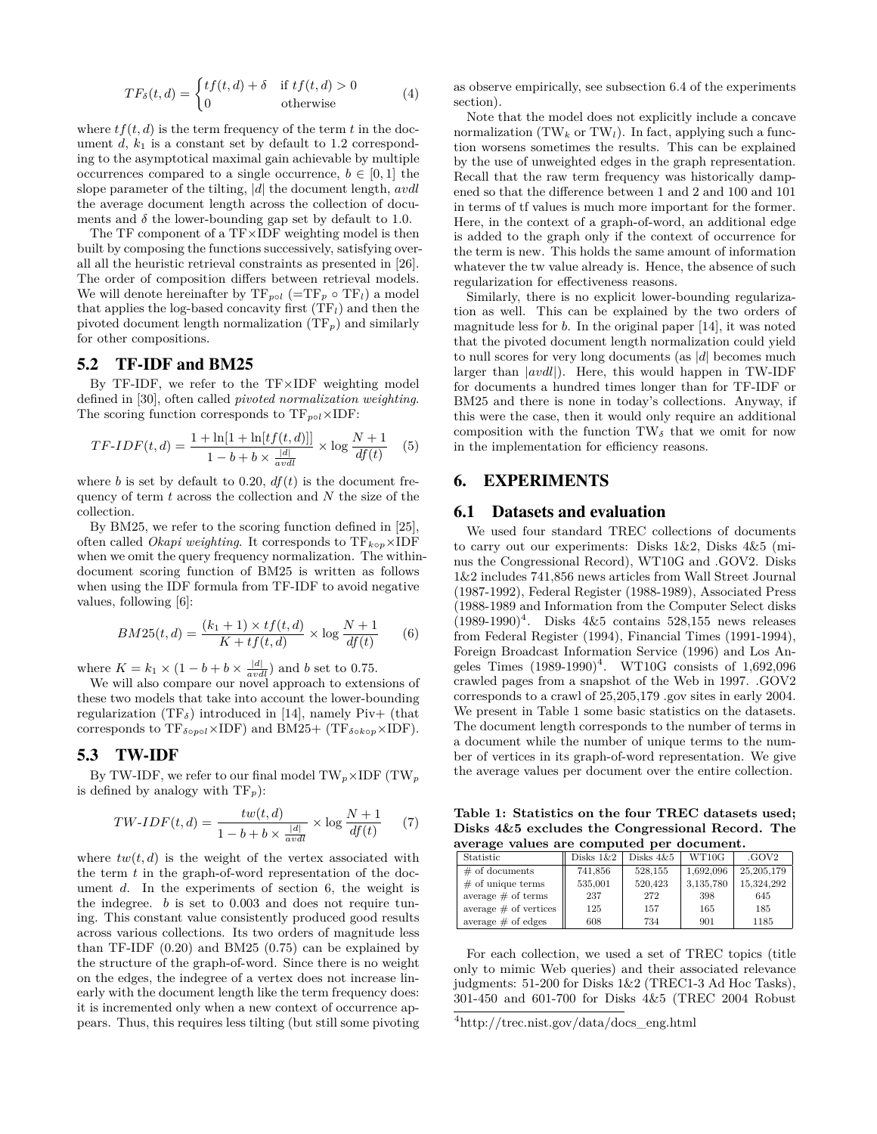$$
TF_{\delta}(t,d) = \begin{cases} tf(t,d) + \delta & \text{if } tf(t,d) > 0\\ 0 & \text{otherwise} \end{cases}
$$
(4)

where  $tf(t, d)$  is the term frequency of the term  $t$  in the document  $d$ ,  $k_1$  is a constant set by default to 1.2 corresponding to the asymptotical maximal gain achievable by multiple occurrences compared to a single occurrence,  $b \in [0, 1]$  the slope parameter of the tilting, |*d*| the document length, *avdl* the average document length across the collection of documents and  $\delta$  the lower-bounding gap set by default to 1.0.

The TF component of a TF×IDF weighting model is then built by composing the functions successively, satisfying overall all the heuristic retrieval constraints as presented in [\[26\]](#page-8-26). The order of composition differs between retrieval models. We will denote hereinafter by  $TF_{pol}$  (=TF<sub>p</sub>  $\circ$  TF<sub>l</sub>) a model that applies the log-based concavity first  $(TF_l)$  and then the pivoted document length normalization (TF*p*) and similarly for other compositions.

# 5.2 TF-IDF and BM25

By TF-IDF, we refer to the TF×IDF weighting model defined in [\[30\]](#page-8-0), often called *pivoted normalization weighting*. The scoring function corresponds to  $TF_{pol}\times IDF$ :

$$
TF\text{-}IDF(t,d) = \frac{1 + \ln[1 + \ln[tf(t,d)]]}{1 - b + b \times \frac{|d|}{\text{avdl}}} \times \log \frac{N+1}{df(t)} \quad (5)
$$

where *b* is set by default to 0.20,  $df(t)$  is the document frequency of term *t* across the collection and *N* the size of the collection.

By BM25, we refer to the scoring function defined in [\[25\]](#page-8-1), often called *Okapi weighting*. It corresponds to TF*<sup>k</sup>*◦*<sup>p</sup>*×IDF when we omit the query frequency normalization. The withindocument scoring function of BM25 is written as follows when using the IDF formula from TF-IDF to avoid negative values, following [\[6\]](#page-8-5):

$$
BM25(t, d) = \frac{(k_1 + 1) \times tf(t, d)}{K + tf(t, d)} \times \log \frac{N + 1}{df(t)}
$$
(6)

where  $K = k_1 \times (1 - b + b \times \frac{|d|}{avdl})$  and *b* set to 0.75.

We will also compare our novel approach to extensions of these two models that take into account the lower-bounding regularization  $(TF_{\delta})$  introduced in [\[14\]](#page-8-6), namely Piv+ (that corresponds to TF*<sup>δ</sup>*◦*p*◦*<sup>l</sup>*×IDF) and BM25+ (TF*<sup>δ</sup>*◦*k*◦*<sup>p</sup>*×IDF).

# <span id="page-4-1"></span>5.3 TW-IDF

By TW-IDF, we refer to our final model  $TW_p \times IDF$  (TW<sub>p</sub>) is defined by analogy with  $TF_p$ :

$$
TW\text{-}IDF(t,d) = \frac{tw(t,d)}{1 - b + b \times \frac{|d|}{avdl}} \times \log \frac{N+1}{df(t)} \tag{7}
$$

where  $tw(t, d)$  is the weight of the vertex associated with the term *t* in the graph-of-word representation of the document *d*. In the experiments of section [6,](#page-4-0) the weight is the indegree. *b* is set to 0.003 and does not require tuning. This constant value consistently produced good results across various collections. Its two orders of magnitude less than TF-IDF  $(0.20)$  and BM25  $(0.75)$  can be explained by the structure of the graph-of-word. Since there is no weight on the edges, the indegree of a vertex does not increase linearly with the document length like the term frequency does: it is incremented only when a new context of occurrence appears. Thus, this requires less tilting (but still some pivoting

as observe empirically, see subsection [6.4](#page-6-1) of the experiments section).

Note that the model does not explicitly include a concave normalization  $(TW_k$  or  $TW_l$ ). In fact, applying such a function worsens sometimes the results. This can be explained by the use of unweighted edges in the graph representation. Recall that the raw term frequency was historically dampened so that the difference between 1 and 2 and 100 and 101 in terms of tf values is much more important for the former. Here, in the context of a graph-of-word, an additional edge is added to the graph only if the context of occurrence for the term is new. This holds the same amount of information whatever the tw value already is. Hence, the absence of such regularization for effectiveness reasons.

Similarly, there is no explicit lower-bounding regularization as well. This can be explained by the two orders of magnitude less for *b*. In the original paper [\[14\]](#page-8-6), it was noted that the pivoted document length normalization could yield to null scores for very long documents (as |*d*| becomes much larger than |*avdl*|). Here, this would happen in TW-IDF for documents a hundred times longer than for TF-IDF or BM25 and there is none in today's collections. Anyway, if this were the case, then it would only require an additional composition with the function TW*<sup>δ</sup>* that we omit for now in the implementation for efficiency reasons.

# <span id="page-4-0"></span>6. EXPERIMENTS

#### <span id="page-4-2"></span>6.1 Datasets and evaluation

We used four standard TREC collections of documents to carry out our experiments: Disks 1&2, Disks 4&5 (minus the Congressional Record), WT10G and .GOV2. Disks 1&2 includes 741,856 news articles from Wall Street Journal (1987-1992), Federal Register (1988-1989), Associated Press (1988-1989 and Information from the Computer Select disks  $(1989-1990)^4$ . Disks 4&5 contains 528,155 news releases from Federal Register (1994), Financial Times (1991-1994), Foreign Broadcast Information Service (1996) and Los An-geles Times (1989-1990)<sup>[4](#page-4-2)</sup>. WT10G consists of 1,692,096 crawled pages from a snapshot of the Web in 1997. .GOV2 corresponds to a crawl of 25,205,179 .gov sites in early 2004. We present in Table [1](#page-4-3) some basic statistics on the datasets. The document length corresponds to the number of terms in a document while the number of unique terms to the number of vertices in its graph-of-word representation. We give the average values per document over the entire collection.

<span id="page-4-3"></span>**Table 1: Statistics on the four TREC datasets used; Disks 4&5 excludes the Congressional Record. The average values are computed per document.**

| Statistic                | Disks $1\&2$ | Disks $4&5$ | WT10G     | .GOV2      |
|--------------------------|--------------|-------------|-----------|------------|
| $\#$ of documents        | 741.856      | 528.155     | 1.692.096 | 25.205.179 |
| $\#$ of unique terms     | 535,001      | 520.423     | 3,135,780 | 15.324.292 |
| average $\#$ of terms    | 237          | 272         | 398       | 645        |
| average $\#$ of vertices | 125          | 157         | 165       | 185        |
| average $\#$ of edges    | 608          | 734         | 901       | 1185       |

For each collection, we used a set of TREC topics (title only to mimic Web queries) and their associated relevance judgments: 51-200 for Disks 1&2 (TREC1-3 Ad Hoc Tasks), 301-450 and 601-700 for Disks 4&5 (TREC 2004 Robust

<sup>4</sup>[http://trec.nist.gov/data/docs\\_eng.html](http://trec.nist.gov/data/docs_eng.html)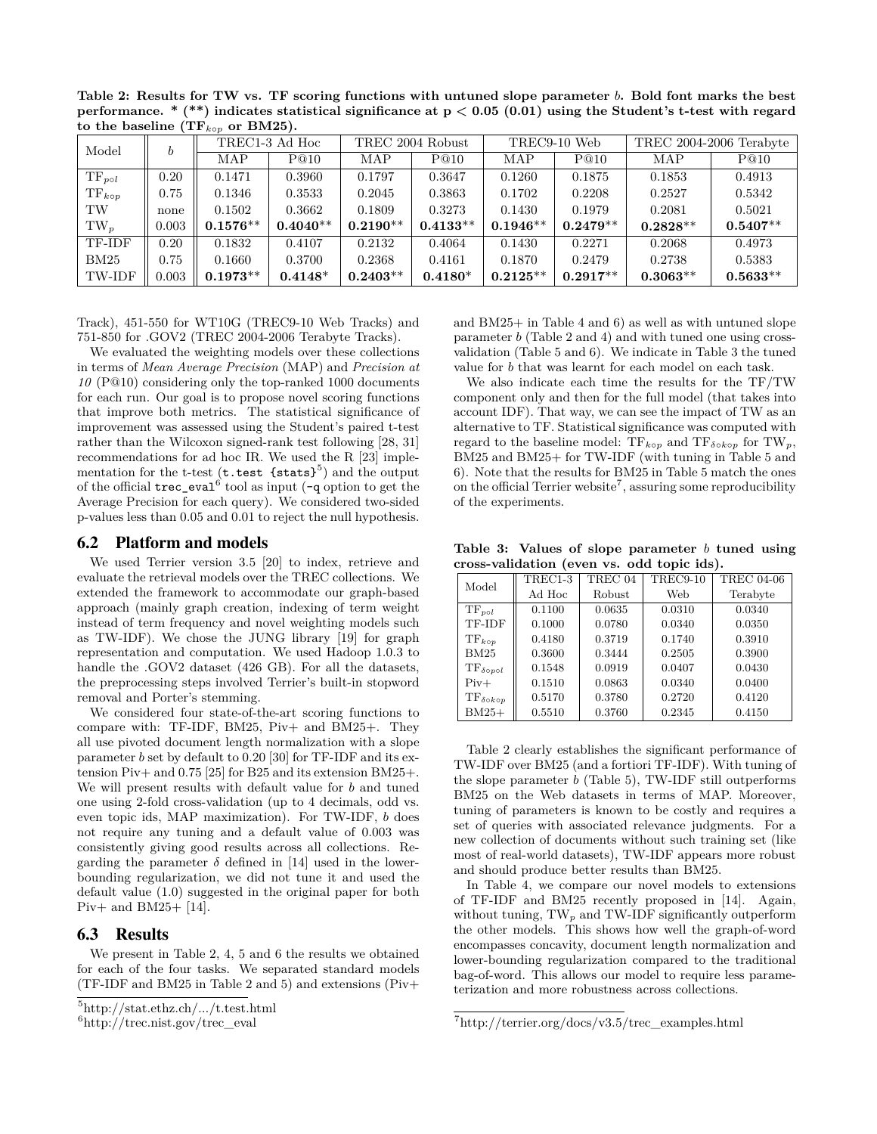<span id="page-5-0"></span>**Table 2: Results for TW vs. TF scoring functions with untuned slope parameter** *b***. Bold font marks the best performance. \* (\*\*) indicates statistical significance at p < 0.05 (0.01) using the Student's t-test with regard** to the baseline ( $TF_{kop}$  or BM25).

| Model            | b     | TREC1-3 Ad Hoc |            | TREC 2004 Robust    |            | TREC9-10 Web |            | TREC 2004-2006 Terabyte |            |
|------------------|-------|----------------|------------|---------------------|------------|--------------|------------|-------------------------|------------|
|                  |       | MAP            | P@10       | MAP                 | P@10       | MAP          | P@10       | MAP                     | P@10       |
| $TF_{pol}$       | 0.20  | 0.1471         | 0.3960     | 0.1797              | 0.3647     | 0.1260       | 0.1875     | 0.1853                  | 0.4913     |
| $TF_{k \circ p}$ | 0.75  | 0.1346         | 0.3533     | 0.2045              | 0.3863     | 0.1702       | 0.2208     | 0.2527                  | 0.5342     |
| TW               | none  | 0.1502         | 0.3662     | 0.1809              | 0.3273     | 0.1430       | 0.1979     | 0.2081                  | 0.5021     |
| $TW_p$           | 0.003 | $0.1576**$     | $0.4040**$ | $0.2190**$          | $0.4133**$ | $0.1946**$   | $0.2479**$ | $0.2828**$              | $0.5407**$ |
| TF-IDF           | 0.20  | 0.1832         | 0.4107     | 0.2132              | 0.4064     | 0.1430       | 0.2271     | 0.2068                  | 0.4973     |
| BM25             | 0.75  | 0.1660         | 0.3700     | 0.2368              | 0.4161     | 0.1870       | 0.2479     | 0.2738                  | 0.5383     |
| TW-IDF           | 0.003 | $0.1973**$     | $0.4148*$  | $0.2403^{\ast\ast}$ | $0.4180*$  | $0.2125**$   | $0.2917**$ | $0.3063**$              | $0.5633**$ |

Track), 451-550 for WT10G (TREC9-10 Web Tracks) and 751-850 for .GOV2 (TREC 2004-2006 Terabyte Tracks).

We evaluated the weighting models over these collections in terms of *Mean Average Precision* (MAP) and *Precision at 10* (P@10) considering only the top-ranked 1000 documents for each run. Our goal is to propose novel scoring functions that improve both metrics. The statistical significance of improvement was assessed using the Student's paired t-test rather than the Wilcoxon signed-rank test following [\[28,](#page-8-27) [31\]](#page-9-2) recommendations for ad hoc IR. We used the R [\[23\]](#page-8-28) implementation for the t-test (t.test {stats}<sup>5</sup>) and the output of the official  $\text{tree\_eval}^6$  tool as input  $(-q$  option to get the Average Precision for each query). We considered two-sided p-values less than 0.05 and 0.01 to reject the null hypothesis.

# 6.2 Platform and models

We used Terrier version 3.5 [\[20\]](#page-8-29) to index, retrieve and evaluate the retrieval models over the TREC collections. We extended the framework to accommodate our graph-based approach (mainly graph creation, indexing of term weight instead of term frequency and novel weighting models such as TW-IDF). We chose the JUNG library [\[19\]](#page-8-24) for graph representation and computation. We used Hadoop 1.0.3 to handle the .GOV2 dataset (426 GB). For all the datasets, the preprocessing steps involved Terrier's built-in stopword removal and Porter's stemming.

We considered four state-of-the-art scoring functions to compare with: TF-IDF, BM25, Piv+ and BM25+. They all use pivoted document length normalization with a slope parameter *b* set by default to 0.20 [\[30\]](#page-8-0) for TF-IDF and its extension Piv+ and 0.75 [\[25\]](#page-8-1) for B25 and its extension BM25+. We will present results with default value for *b* and tuned one using 2-fold cross-validation (up to 4 decimals, odd vs. even topic ids, MAP maximization). For TW-IDF, *b* does not require any tuning and a default value of 0.003 was consistently giving good results across all collections. Regarding the parameter  $\delta$  defined in [\[14\]](#page-8-6) used in the lowerbounding regularization, we did not tune it and used the default value (1.0) suggested in the original paper for both Piv+ and BM25+ [\[14\]](#page-8-6).

# 6.3 Results

We present in Table [2,](#page-5-0) [4,](#page-6-2) [5](#page-7-2) and [6](#page-7-3) the results we obtained for each of the four tasks. We separated standard models (TF-IDF and BM25 in Table [2](#page-5-0) and [5\)](#page-7-2) and extensions (Piv+

and BM25+ in Table [4](#page-6-2) and [6\)](#page-7-3) as well as with untuned slope parameter *b* (Table [2](#page-5-0) and [4\)](#page-6-2) and with tuned one using crossvalidation (Table [5](#page-7-2) and [6\)](#page-7-3). We indicate in Table [3](#page-5-1) the tuned value for *b* that was learnt for each model on each task.

We also indicate each time the results for the TF/TW component only and then for the full model (that takes into account IDF). That way, we can see the impact of TW as an alternative to TF. Statistical significance was computed with regard to the baseline model:  $TF_{\text{kop}}$  and  $TF_{\delta \circ \text{kop}}$  for  $TW_p$ , BM25 and BM25+ for TW-IDF (with tuning in Table [5](#page-7-2) and [6\)](#page-7-3). Note that the results for BM25 in Table [5](#page-7-2) match the ones on the official Terrier website<sup>7</sup>, assuring some reproducibility of the experiments.

**Table 3: Values of slope parameter** *b* **tuned using cross-validation (even vs. odd topic ids).**

<span id="page-5-1"></span>

| Model                                | TREC1-3 | TREC <sub>04</sub> | TREC9-10 | <b>TREC 04-06</b> |
|--------------------------------------|---------|--------------------|----------|-------------------|
|                                      | Ad Hoc  | Robust             | Web      | Terabyte          |
| $TF_{pol}$                           | 0.1100  | 0.0635             | 0.0310   | 0.0340            |
| TF-IDF                               | 0.1000  | 0.0780             | 0.0340   | 0.0350            |
| $TF_{k\circ p}$                      | 0.4180  | 0.3719             | 0.1740   | 0.3910            |
| <b>BM25</b>                          | 0.3600  | 0.3444             | 0.2505   | 0.3900            |
| $TF_{\delta opol}$                   | 0.1548  | 0.0919             | 0.0407   | 0.0430            |
| $Piv+$                               | 0.1510  | 0.0863             | 0.0340   | 0.0400            |
| $\mathrm{TF}_{\delta\circ k\circ p}$ | 0.5170  | 0.3780             | 0.2720   | 0.4120            |
| $BM25+$                              | 0.5510  | 0.3760             | 0.2345   | 0.4150            |

Table [2](#page-5-0) clearly establishes the significant performance of TW-IDF over BM25 (and a fortiori TF-IDF). With tuning of the slope parameter *b* (Table [5\)](#page-7-2), TW-IDF still outperforms BM25 on the Web datasets in terms of MAP. Moreover, tuning of parameters is known to be costly and requires a set of queries with associated relevance judgments. For a new collection of documents without such training set (like most of real-world datasets), TW-IDF appears more robust and should produce better results than BM25.

In Table [4,](#page-6-2) we compare our novel models to extensions of TF-IDF and BM25 recently proposed in [\[14\]](#page-8-6). Again, without tuning, TW<sub>p</sub> and TW-IDF significantly outperform the other models. This shows how well the graph-of-word encompasses concavity, document length normalization and lower-bounding regularization compared to the traditional bag-of-word. This allows our model to require less parameterization and more robustness across collections.

<sup>5</sup>[http://stat.ethz.ch/.../t.test.html](http://stat.ethz.ch/R-manual/R-patched/library/stats/html/t.test.html)

<sup>6</sup>[http://trec.nist.gov/trec\\_eval](http://trec.nist.gov/trec_eval)

<sup>7</sup>[http://terrier.org/docs/v3.5/trec\\_examples.html](http://terrier.org/docs/v3.5/trec_examples.html#paramsettings)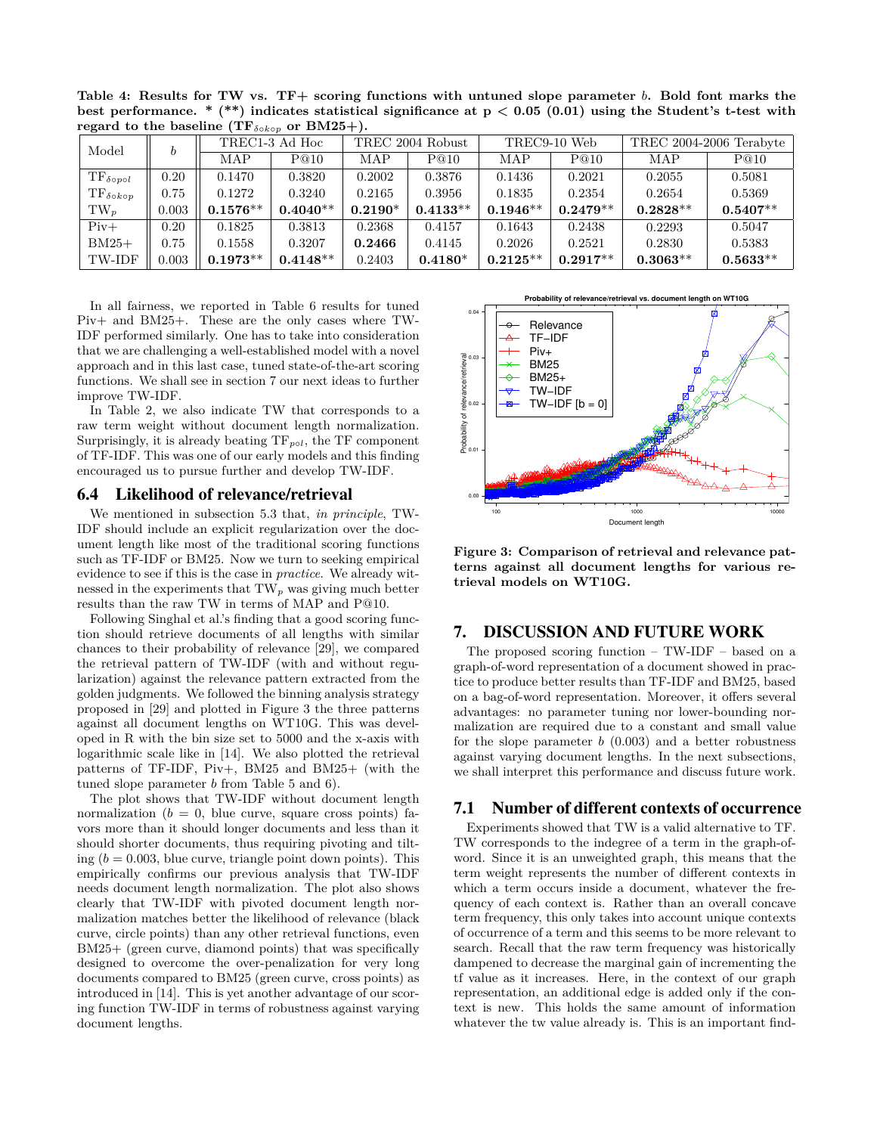<span id="page-6-2"></span>**Table 4: Results for TW vs. TF+ scoring functions with untuned slope parameter** *b***. Bold font marks the best performance. \* (\*\*) indicates statistical significance at p < 0.05 (0.01) using the Student's t-test with regard to the baseline (TF***<sup>δ</sup>*◦*k*◦*<sup>p</sup>* **or BM25+).**

| Model                       | b     | TREC1-3 Ad Hoc      |            | TREC 2004 Robust |            | TREC9-10 Web |            | TREC 2004-2006 Terabyte |            |
|-----------------------------|-------|---------------------|------------|------------------|------------|--------------|------------|-------------------------|------------|
|                             |       | MAP                 | P@10       | MAP              | P@10       | MAP          | P@10       | MAP                     | P@10       |
| $TF_{\delta op \circ l}$    | 0.20  | 0.1470              | 0.3820     | 0.2002           | 0.3876     | 0.1436       | 0.2021     | 0.2055                  | 0.5081     |
| $TF_{\delta\circ k\circ p}$ | 0.75  | 0.1272              | 0.3240     | 0.2165           | 0.3956     | 0.1835       | 0.2354     | 0.2654                  | 0.5369     |
| $TW_p$                      | 0.003 | $0.1576**$          | $0.4040**$ | $0.2190*$        | $0.4133**$ | $0.1946**$   | $0.2479**$ | $0.2828**$              | $0.5407**$ |
| $Piv+$                      | 0.20  | 0.1825              | 0.3813     | 0.2368           | 0.4157     | 0.1643       | 0.2438     | 0.2293                  | 0.5047     |
| $BM25+$                     | 0.75  | 0.1558              | 0.3207     | 0.2466           | 0.4145     | 0.2026       | 0.2521     | 0.2830                  | 0.5383     |
| TW-IDF                      | 0.003 | $0.1973^{\ast\ast}$ | $0.4148**$ | 0.2403           | $0.4180*$  | $0.2125**$   | $0.2917**$ | $0.3063**$              | $0.5633**$ |

In all fairness, we reported in Table [6](#page-7-3) results for tuned Piv+ and BM25+. These are the only cases where TW-IDF performed similarly. One has to take into consideration that we are challenging a well-established model with a novel approach and in this last case, tuned state-of-the-art scoring functions. We shall see in section [7](#page-6-0) our next ideas to further improve TW-IDF.

In Table [2,](#page-5-0) we also indicate TW that corresponds to a raw term weight without document length normalization. Surprisingly, it is already beating  $TF_{pol}$ , the TF component of TF-IDF. This was one of our early models and this finding encouraged us to pursue further and develop TW-IDF.

#### <span id="page-6-1"></span>6.4 Likelihood of relevance/retrieval

We mentioned in subsection [5.3](#page-4-1) that, *in principle*, TW-IDF should include an explicit regularization over the document length like most of the traditional scoring functions such as TF-IDF or BM25. Now we turn to seeking empirical evidence to see if this is the case in *practice*. We already witnessed in the experiments that TW*<sup>p</sup>* was giving much better results than the raw TW in terms of MAP and P@10.

Following Singhal et al.'s finding that a good scoring function should retrieve documents of all lengths with similar chances to their probability of relevance [\[29\]](#page-8-25), we compared the retrieval pattern of TW-IDF (with and without regularization) against the relevance pattern extracted from the golden judgments. We followed the binning analysis strategy proposed in [\[29\]](#page-8-25) and plotted in Figure [3](#page-6-3) the three patterns against all document lengths on WT10G. This was developed in R with the bin size set to 5000 and the x-axis with logarithmic scale like in [\[14\]](#page-8-6). We also plotted the retrieval patterns of TF-IDF, Piv+, BM25 and BM25+ (with the tuned slope parameter *b* from Table [5](#page-7-2) and [6\)](#page-7-3).

The plot shows that TW-IDF without document length normalization ( $b = 0$ , blue curve, square cross points) favors more than it should longer documents and less than it should shorter documents, thus requiring pivoting and tilting  $(b = 0.003,$  blue curve, triangle point down points). This empirically confirms our previous analysis that TW-IDF needs document length normalization. The plot also shows clearly that TW-IDF with pivoted document length normalization matches better the likelihood of relevance (black curve, circle points) than any other retrieval functions, even BM25+ (green curve, diamond points) that was specifically designed to overcome the over-penalization for very long documents compared to BM25 (green curve, cross points) as introduced in [\[14\]](#page-8-6). This is yet another advantage of our scoring function TW-IDF in terms of robustness against varying document lengths.



<span id="page-6-3"></span>**Figure 3: Comparison of retrieval and relevance patterns against all document lengths for various retrieval models on WT10G.**

# <span id="page-6-0"></span>7. DISCUSSION AND FUTURE WORK

The proposed scoring function – TW-IDF – based on a graph-of-word representation of a document showed in practice to produce better results than TF-IDF and BM25, based on a bag-of-word representation. Moreover, it offers several advantages: no parameter tuning nor lower-bounding normalization are required due to a constant and small value for the slope parameter  $b(0.003)$  and a better robustness against varying document lengths. In the next subsections, we shall interpret this performance and discuss future work.

#### 7.1 Number of different contexts of occurrence

Experiments showed that TW is a valid alternative to TF. TW corresponds to the indegree of a term in the graph-ofword. Since it is an unweighted graph, this means that the term weight represents the number of different contexts in which a term occurs inside a document, whatever the frequency of each context is. Rather than an overall concave term frequency, this only takes into account unique contexts of occurrence of a term and this seems to be more relevant to search. Recall that the raw term frequency was historically dampened to decrease the marginal gain of incrementing the tf value as it increases. Here, in the context of our graph representation, an additional edge is added only if the context is new. This holds the same amount of information whatever the tw value already is. This is an important find-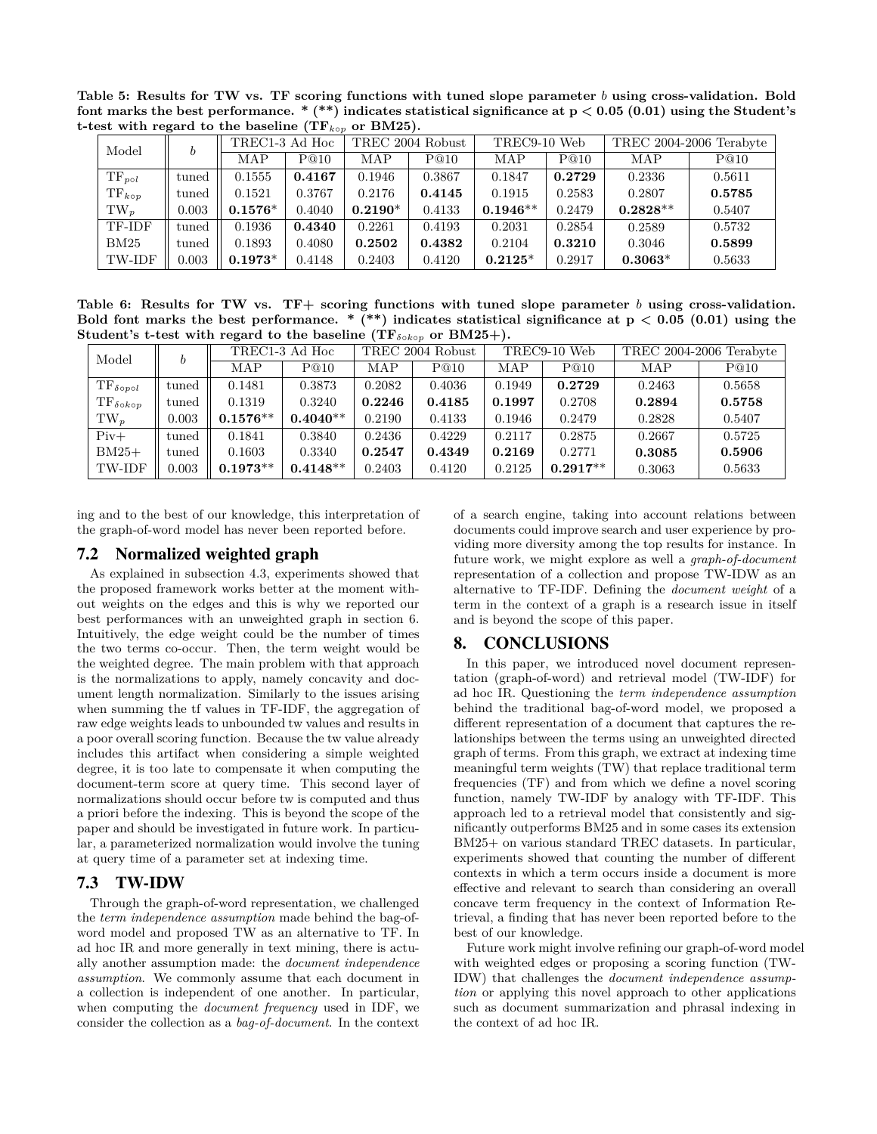**Table 5: Results for TW vs. TF scoring functions with tuned slope parameter** *b* **using cross-validation. Bold font marks the best performance. \* (\*\*) indicates statistical significance at p < 0.05 (0.01) using the Student's t-test with regard to the baseline (TF** $_{kop}$  or BM25).

<span id="page-7-2"></span>

| Model            | b     | TREC1-3 Ad Hoc |        | TREC 2004 Robust |        | TREC9-10 Web |        | TREC 2004-2006 Terabyte |        |
|------------------|-------|----------------|--------|------------------|--------|--------------|--------|-------------------------|--------|
|                  |       | MAP            | P@10   | MAP              | P@10   | MAP          | P@10   | MAP                     | P@10   |
| $TF_{pol}$       | tuned | 0.1555         | 0.4167 | 0.1946           | 0.3867 | 0.1847       | 0.2729 | 0.2336                  | 0.5611 |
| $TF_{k \circ p}$ | tuned | 0.1521         | 0.3767 | 0.2176           | 0.4145 | 0.1915       | 0.2583 | 0.2807                  | 0.5785 |
| $TW_p$           | 0.003 | $0.1576*$      | 0.4040 | $0.2190*$        | 0.4133 | $0.1946**$   | 0.2479 | $0.2828**$              | 0.5407 |
| TF-IDF           | tuned | 0.1936         | 0.4340 | 0.2261           | 0.4193 | 0.2031       | 0.2854 | 0.2589                  | 0.5732 |
| BM25             | tuned | 0.1893         | 0.4080 | 0.2502           | 0.4382 | 0.2104       | 0.3210 | 0.3046                  | 0.5899 |
| TW-IDF           | 0.003 | $0.1973*$      | 0.4148 | 0.2403           | 0.4120 | $0.2125*$    | 0.2917 | $0.3063*$               | 0.5633 |

**Table 6: Results for TW vs. TF+ scoring functions with tuned slope parameter** *b* **using cross-validation. Bold font marks the best performance. \* (\*\*) indicates statistical significance at p < 0.05 (0.01) using the Student's t-test with regard to the baseline (TF** $_{\delta\circ k\circ p}$  or BM25+).

<span id="page-7-3"></span>

| Model                       | b     | TREC1-3 Ad Hoc |            | TREC 2004 Robust |        | TREC9-10 Web |            | TREC 2004-2006 Terabyte |        |
|-----------------------------|-------|----------------|------------|------------------|--------|--------------|------------|-------------------------|--------|
|                             |       | MAP            | P@10       | MAP              | P@10   | MAP          | P@10       | MAP                     | P@10   |
| $TF_{\delta opol}$          | tuned | 0.1481         | 0.3873     | 0.2082           | 0.4036 | 0.1949       | 0.2729     | 0.2463                  | 0.5658 |
| $TF_{\delta\circ k\circ p}$ | tuned | 0.1319         | 0.3240     | 0.2246           | 0.4185 | 0.1997       | 0.2708     | 0.2894                  | 0.5758 |
| $TW_p$                      | 0.003 | $0.1576**$     | $0.4040**$ | 0.2190           | 0.4133 | 0.1946       | 0.2479     | 0.2828                  | 0.5407 |
| $Piv+$                      | tuned | 0.1841         | 0.3840     | 0.2436           | 0.4229 | 0.2117       | 0.2875     | 0.2667                  | 0.5725 |
| $BM25+$                     | tuned | 0.1603         | 0.3340     | 0.2547           | 0.4349 | 0.2169       | 0.2771     | 0.3085                  | 0.5906 |
| TW-IDF                      | 0.003 | $0.1973**$     | $0.4148**$ | 0.2403           | 0.4120 | 0.2125       | $0.2917**$ | 0.3063                  | 0.5633 |

ing and to the best of our knowledge, this interpretation of the graph-of-word model has never been reported before.

# <span id="page-7-1"></span>7.2 Normalized weighted graph

As explained in subsection [4.3,](#page-2-4) experiments showed that the proposed framework works better at the moment without weights on the edges and this is why we reported our best performances with an unweighted graph in section [6.](#page-4-0) Intuitively, the edge weight could be the number of times the two terms co-occur. Then, the term weight would be the weighted degree. The main problem with that approach is the normalizations to apply, namely concavity and document length normalization. Similarly to the issues arising when summing the tf values in TF-IDF, the aggregation of raw edge weights leads to unbounded tw values and results in a poor overall scoring function. Because the tw value already includes this artifact when considering a simple weighted degree, it is too late to compensate it when computing the document-term score at query time. This second layer of normalizations should occur before tw is computed and thus a priori before the indexing. This is beyond the scope of the paper and should be investigated in future work. In particular, a parameterized normalization would involve the tuning at query time of a parameter set at indexing time.

# 7.3 TW-IDW

Through the graph-of-word representation, we challenged the *term independence assumption* made behind the bag-ofword model and proposed TW as an alternative to TF. In ad hoc IR and more generally in text mining, there is actually another assumption made: the *document independence assumption*. We commonly assume that each document in a collection is independent of one another. In particular, when computing the *document frequency* used in IDF, we consider the collection as a *bag-of-document*. In the context

of a search engine, taking into account relations between documents could improve search and user experience by providing more diversity among the top results for instance. In future work, we might explore as well a *graph-of-document* representation of a collection and propose TW-IDW as an alternative to TF-IDF. Defining the *document weight* of a term in the context of a graph is a research issue in itself and is beyond the scope of this paper.

# <span id="page-7-0"></span>8. CONCLUSIONS

In this paper, we introduced novel document representation (graph-of-word) and retrieval model (TW-IDF) for ad hoc IR. Questioning the *term independence assumption* behind the traditional bag-of-word model, we proposed a different representation of a document that captures the relationships between the terms using an unweighted directed graph of terms. From this graph, we extract at indexing time meaningful term weights (TW) that replace traditional term frequencies (TF) and from which we define a novel scoring function, namely TW-IDF by analogy with TF-IDF. This approach led to a retrieval model that consistently and significantly outperforms BM25 and in some cases its extension BM25+ on various standard TREC datasets. In particular, experiments showed that counting the number of different contexts in which a term occurs inside a document is more effective and relevant to search than considering an overall concave term frequency in the context of Information Retrieval, a finding that has never been reported before to the best of our knowledge.

Future work might involve refining our graph-of-word model with weighted edges or proposing a scoring function (TW-IDW) that challenges the *document independence assumption* or applying this novel approach to other applications such as document summarization and phrasal indexing in the context of ad hoc IR.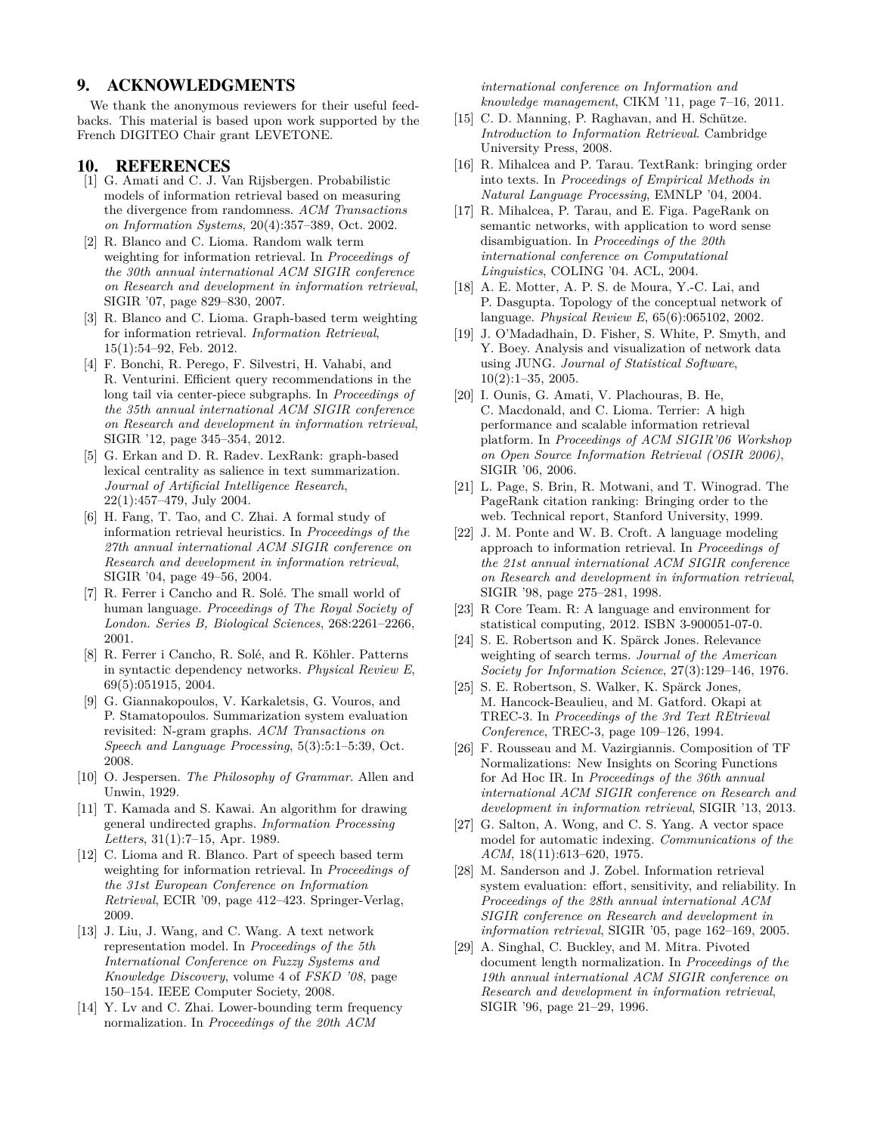# 9. ACKNOWLEDGMENTS

We thank the anonymous reviewers for their useful feedbacks. This material is based upon work supported by the French DIGITEO Chair grant LEVETONE.

#### <span id="page-8-2"></span>10. REFERENCES

- [1] G. Amati and C. J. Van Rijsbergen. Probabilistic models of information retrieval based on measuring the divergence from randomness. *ACM Transactions on Information Systems*, 20(4):357–389, Oct. 2002.
- <span id="page-8-3"></span>[2] R. Blanco and C. Lioma. Random walk term weighting for information retrieval. In *Proceedings of the 30th annual international ACM SIGIR conference on Research and development in information retrieval*, SIGIR '07, page 829–830, 2007.
- <span id="page-8-4"></span>[3] R. Blanco and C. Lioma. Graph-based term weighting for information retrieval. *Information Retrieval*, 15(1):54–92, Feb. 2012.
- <span id="page-8-22"></span>[4] F. Bonchi, R. Perego, F. Silvestri, H. Vahabi, and R. Venturini. Efficient query recommendations in the long tail via center-piece subgraphs. In *Proceedings of the 35th annual international ACM SIGIR conference on Research and development in information retrieval*, SIGIR '12, page 345–354, 2012.
- <span id="page-8-7"></span>[5] G. Erkan and D. R. Radev. LexRank: graph-based lexical centrality as salience in text summarization. *Journal of Artificial Intelligence Research*, 22(1):457–479, July 2004.
- <span id="page-8-5"></span>[6] H. Fang, T. Tao, and C. Zhai. A formal study of information retrieval heuristics. In *Proceedings of the 27th annual international ACM SIGIR conference on Research and development in information retrieval*, SIGIR '04, page 49–56, 2004.
- <span id="page-8-14"></span>[7] R. Ferrer i Cancho and R. Solé. The small world of human language. *Proceedings of The Royal Society of London. Series B, Biological Sciences*, 268:2261–2266, 2001.
- <span id="page-8-12"></span>[8] R. Ferrer i Cancho, R. Solé, and R. Köhler. Patterns in syntactic dependency networks. *Physical Review E*, 69(5):051915, 2004.
- <span id="page-8-11"></span>[9] G. Giannakopoulos, V. Karkaletsis, G. Vouros, and P. Stamatopoulos. Summarization system evaluation revisited: N-gram graphs. *ACM Transactions on Speech and Language Processing*, 5(3):5:1–5:39, Oct. 2008.
- <span id="page-8-15"></span>[10] O. Jespersen. *The Philosophy of Grammar*. Allen and Unwin, 1929.
- <span id="page-8-23"></span>[11] T. Kamada and S. Kawai. An algorithm for drawing general undirected graphs. *Information Processing Letters*, 31(1):7–15, Apr. 1989.
- <span id="page-8-17"></span>[12] C. Lioma and R. Blanco. Part of speech based term weighting for information retrieval. In *Proceedings of the 31st European Conference on Information Retrieval*, ECIR '09, page 412–423. Springer-Verlag, 2009.
- <span id="page-8-9"></span>[13] J. Liu, J. Wang, and C. Wang. A text network representation model. In *Proceedings of the 5th International Conference on Fuzzy Systems and Knowledge Discovery*, volume 4 of *FSKD '08*, page 150–154. IEEE Computer Society, 2008.
- <span id="page-8-6"></span>[14] Y. Lv and C. Zhai. Lower-bounding term frequency normalization. In *Proceedings of the 20th ACM*

*international conference on Information and knowledge management*, CIKM '11, page 7–16, 2011.

- <span id="page-8-16"></span>[15] C. D. Manning, P. Raghavan, and H. Schütze. *Introduction to Information Retrieval*. Cambridge University Press, 2008.
- <span id="page-8-8"></span>[16] R. Mihalcea and P. Tarau. TextRank: bringing order into texts. In *Proceedings of Empirical Methods in Natural Language Processing*, EMNLP '04, 2004.
- <span id="page-8-10"></span>[17] R. Mihalcea, P. Tarau, and E. Figa. PageRank on semantic networks, with application to word sense disambiguation. In *Proceedings of the 20th international conference on Computational Linguistics*, COLING '04. ACL, 2004.
- <span id="page-8-13"></span>[18] A. E. Motter, A. P. S. de Moura, Y.-C. Lai, and P. Dasgupta. Topology of the conceptual network of language. *Physical Review E*, 65(6):065102, 2002.
- <span id="page-8-24"></span>[19] J. O'Madadhain, D. Fisher, S. White, P. Smyth, and Y. Boey. Analysis and visualization of network data using JUNG. *Journal of Statistical Software*, 10(2):1–35, 2005.
- <span id="page-8-29"></span>[20] I. Ounis, G. Amati, V. Plachouras, B. He, C. Macdonald, and C. Lioma. Terrier: A high performance and scalable information retrieval platform. In *Proceedings of ACM SIGIR'06 Workshop on Open Source Information Retrieval (OSIR 2006)*, SIGIR '06, 2006.
- <span id="page-8-21"></span>[21] L. Page, S. Brin, R. Motwani, and T. Winograd. The PageRank citation ranking: Bringing order to the web. Technical report, Stanford University, 1999.
- <span id="page-8-20"></span>[22] J. M. Ponte and W. B. Croft. A language modeling approach to information retrieval. In *Proceedings of the 21st annual international ACM SIGIR conference on Research and development in information retrieval*, SIGIR '98, page 275–281, 1998.
- <span id="page-8-28"></span>[23] R Core Team. R: A language and environment for statistical computing, 2012. ISBN 3-900051-07-0.
- <span id="page-8-19"></span>[24] S. E. Robertson and K. Spärck Jones. Relevance weighting of search terms. *Journal of the American Society for Information Science*, 27(3):129–146, 1976.
- <span id="page-8-1"></span>[25] S. E. Robertson, S. Walker, K. Spärck Jones, M. Hancock-Beaulieu, and M. Gatford. Okapi at TREC-3. In *Proceedings of the 3rd Text REtrieval Conference*, TREC-3, page 109–126, 1994.
- <span id="page-8-26"></span>[26] F. Rousseau and M. Vazirgiannis. Composition of TF Normalizations: New Insights on Scoring Functions for Ad Hoc IR. In *Proceedings of the 36th annual international ACM SIGIR conference on Research and development in information retrieval*, SIGIR '13, 2013.
- <span id="page-8-18"></span>[27] G. Salton, A. Wong, and C. S. Yang. A vector space model for automatic indexing. *Communications of the ACM*, 18(11):613–620, 1975.
- <span id="page-8-27"></span>[28] M. Sanderson and J. Zobel. Information retrieval system evaluation: effort, sensitivity, and reliability. In *Proceedings of the 28th annual international ACM SIGIR conference on Research and development in information retrieval*, SIGIR '05, page 162–169, 2005.
- <span id="page-8-25"></span><span id="page-8-0"></span>[29] A. Singhal, C. Buckley, and M. Mitra. Pivoted document length normalization. In *Proceedings of the 19th annual international ACM SIGIR conference on Research and development in information retrieval*, SIGIR '96, page 21–29, 1996.